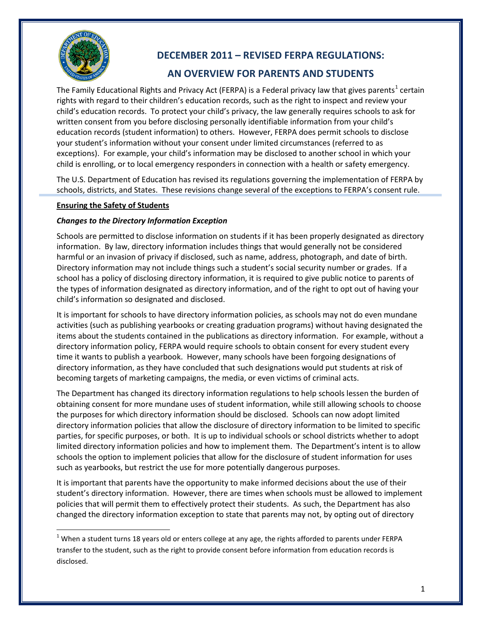

ı

# **DECEMBER 2011 – REVISED FERPA REGULATIONS:**

## **AN OVERVIEW FOR PARENTS AND STUDENTS**

The Family Educational Rights and Privacy Act (FERPA) is a Federal privacy law that gives parents<sup>[1](#page-0-0)</sup> certain rights with regard to their children's education records, such as the right to inspect and review your child's education records. To protect your child's privacy, the law generally requires schools to ask for written consent from you before disclosing personally identifiable information from your child's education records (student information) to others. However, FERPA does permit schools to disclose your student's information without your consent under limited circumstances (referred to as exceptions). For example, your child's information may be disclosed to another school in which your child is enrolling, or to local emergency responders in connection with a health or safety emergency.

The U.S. Department of Education has revised its regulations governing the implementation of FERPA by schools, districts, and States. These revisions change several of the exceptions to FERPA's consent rule.

#### **Ensuring the Safety of Students**

#### *Changes to the Directory Information Exception*

Schools are permitted to disclose information on students if it has been properly designated as directory information. By law, directory information includes things that would generally not be considered harmful or an invasion of privacy if disclosed, such as name, address, photograph, and date of birth. Directory information may not include things such a student's social security number or grades. If a school has a policy of disclosing directory information, it is required to give public notice to parents of the types of information designated as directory information, and of the right to opt out of having your child's information so designated and disclosed.

It is important for schools to have directory information policies, as schools may not do even mundane activities (such as publishing yearbooks or creating graduation programs) without having designated the items about the students contained in the publications as directory information. For example, without a directory information policy, FERPA would require schools to obtain consent for every student every time it wants to publish a yearbook. However, many schools have been forgoing designations of directory information, as they have concluded that such designations would put students at risk of becoming targets of marketing campaigns, the media, or even victims of criminal acts.

The Department has changed its directory information regulations to help schools lessen the burden of obtaining consent for more mundane uses of student information, while still allowing schools to choose the purposes for which directory information should be disclosed. Schools can now adopt limited directory information policies that allow the disclosure of directory information to be limited to specific parties, for specific purposes, or both. It is up to individual schools or school districts whether to adopt limited directory information policies and how to implement them. The Department's intent is to allow schools the option to implement policies that allow for the disclosure of student information for uses such as yearbooks, but restrict the use for more potentially dangerous purposes.

It is important that parents have the opportunity to make informed decisions about the use of their student's directory information. However, there are times when schools must be allowed to implement policies that will permit them to effectively protect their students. As such, the Department has also changed the directory information exception to state that parents may not, by opting out of directory

<span id="page-0-0"></span> $1$  When a student turns 18 years old or enters college at any age, the rights afforded to parents under FERPA transfer to the student, such as the right to provide consent before information from education records is disclosed.